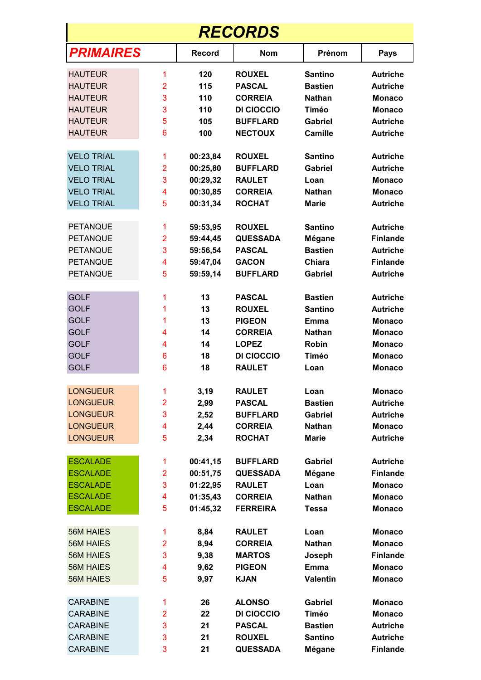| <b>RECORDS</b>    |                |               |                 |                 |                 |  |  |  |
|-------------------|----------------|---------------|-----------------|-----------------|-----------------|--|--|--|
| <b>PRIMAIRES</b>  |                | <b>Record</b> | <b>Nom</b>      | Prénom          | <b>Pays</b>     |  |  |  |
| <b>HAUTEUR</b>    | 1              | 120           | <b>ROUXEL</b>   | <b>Santino</b>  | <b>Autriche</b> |  |  |  |
| <b>HAUTEUR</b>    | $\overline{2}$ | 115           | <b>PASCAL</b>   | <b>Bastien</b>  | <b>Autriche</b> |  |  |  |
| <b>HAUTEUR</b>    | 3              | 110           | <b>CORREIA</b>  | <b>Nathan</b>   | <b>Monaco</b>   |  |  |  |
| <b>HAUTEUR</b>    | 3              | 110           | DI CIOCCIO      | Timéo           | <b>Monaco</b>   |  |  |  |
| <b>HAUTEUR</b>    | 5              | 105           | <b>BUFFLARD</b> | <b>Gabriel</b>  | <b>Autriche</b> |  |  |  |
| <b>HAUTEUR</b>    | 6              | 100           | <b>NECTOUX</b>  | <b>Camille</b>  | <b>Autriche</b> |  |  |  |
| <b>VELO TRIAL</b> | 1              | 00:23,84      | <b>ROUXEL</b>   | <b>Santino</b>  | <b>Autriche</b> |  |  |  |
| <b>VELO TRIAL</b> | $\overline{2}$ | 00:25,80      | <b>BUFFLARD</b> | Gabriel         | <b>Autriche</b> |  |  |  |
| <b>VELO TRIAL</b> | 3              | 00:29,32      | <b>RAULET</b>   | Loan            | Monaco          |  |  |  |
| <b>VELO TRIAL</b> | 4              | 00:30,85      | <b>CORREIA</b>  | <b>Nathan</b>   | <b>Monaco</b>   |  |  |  |
| <b>VELO TRIAL</b> | 5              | 00:31,34      | <b>ROCHAT</b>   | <b>Marie</b>    | <b>Autriche</b> |  |  |  |
| <b>PETANQUE</b>   | 1              | 59:53,95      | <b>ROUXEL</b>   | <b>Santino</b>  | <b>Autriche</b> |  |  |  |
| <b>PETANQUE</b>   | $\overline{2}$ | 59:44,45      | <b>QUESSADA</b> | Mégane          | <b>Finlande</b> |  |  |  |
| <b>PETANQUE</b>   | 3              | 59:56,54      | <b>PASCAL</b>   | <b>Bastien</b>  | <b>Autriche</b> |  |  |  |
| <b>PETANQUE</b>   | 4              | 59:47,04      | <b>GACON</b>    | Chiara          | <b>Finlande</b> |  |  |  |
| <b>PETANQUE</b>   | 5              | 59:59,14      | <b>BUFFLARD</b> | <b>Gabriel</b>  | <b>Autriche</b> |  |  |  |
| <b>GOLF</b>       | 1              | 13            | <b>PASCAL</b>   | <b>Bastien</b>  | <b>Autriche</b> |  |  |  |
| <b>GOLF</b>       | 1              | 13            | <b>ROUXEL</b>   | <b>Santino</b>  | <b>Autriche</b> |  |  |  |
| <b>GOLF</b>       | 1              | 13            | <b>PIGEON</b>   | Emma            | <b>Monaco</b>   |  |  |  |
| <b>GOLF</b>       | 4              | 14            | <b>CORREIA</b>  | <b>Nathan</b>   | <b>Monaco</b>   |  |  |  |
| <b>GOLF</b>       | 4              | 14            | <b>LOPEZ</b>    | Robin           | Monaco          |  |  |  |
| <b>GOLF</b>       | 6              | 18            | DI CIOCCIO      | Timéo           | <b>Monaco</b>   |  |  |  |
| <b>GOLF</b>       | 6              | 18            | <b>RAULET</b>   | Loan            | <b>Monaco</b>   |  |  |  |
| <b>LONGUEUR</b>   | 1              | 3,19          | <b>RAULET</b>   | Loan            | <b>Monaco</b>   |  |  |  |
| <b>LONGUEUR</b>   | $\overline{2}$ | 2,99          | <b>PASCAL</b>   | <b>Bastien</b>  | <b>Autriche</b> |  |  |  |
| <b>LONGUEUR</b>   | 3              | 2,52          | <b>BUFFLARD</b> | <b>Gabriel</b>  | <b>Autriche</b> |  |  |  |
| <b>LONGUEUR</b>   | 4              | 2,44          | <b>CORREIA</b>  | <b>Nathan</b>   | <b>Monaco</b>   |  |  |  |
| <b>LONGUEUR</b>   | 5              | 2,34          | <b>ROCHAT</b>   | <b>Marie</b>    | <b>Autriche</b> |  |  |  |
| <b>ESCALADE</b>   | 1              | 00:41,15      | <b>BUFFLARD</b> | <b>Gabriel</b>  | <b>Autriche</b> |  |  |  |
| <b>ESCALADE</b>   | $\overline{2}$ | 00:51,75      | <b>QUESSADA</b> | Mégane          | <b>Finlande</b> |  |  |  |
| <b>ESCALADE</b>   | 3              | 01:22,95      | <b>RAULET</b>   | Loan            | <b>Monaco</b>   |  |  |  |
| <b>ESCALADE</b>   | 4              | 01:35,43      | <b>CORREIA</b>  | <b>Nathan</b>   | <b>Monaco</b>   |  |  |  |
| <b>ESCALADE</b>   | 5              | 01:45,32      | <b>FERREIRA</b> | <b>Tessa</b>    | <b>Monaco</b>   |  |  |  |
| <b>56M HAIES</b>  | 1              | 8,84          | <b>RAULET</b>   | Loan            | <b>Monaco</b>   |  |  |  |
| <b>56M HAIES</b>  | $\overline{2}$ | 8,94          | <b>CORREIA</b>  | <b>Nathan</b>   | <b>Monaco</b>   |  |  |  |
| <b>56M HAIES</b>  | 3              | 9,38          | <b>MARTOS</b>   | Joseph          | <b>Finlande</b> |  |  |  |
| <b>56M HAIES</b>  | 4              | 9,62          | <b>PIGEON</b>   | <b>Emma</b>     | <b>Monaco</b>   |  |  |  |
| <b>56M HAIES</b>  | 5              | 9,97          | <b>KJAN</b>     | <b>Valentin</b> | <b>Monaco</b>   |  |  |  |
| <b>CARABINE</b>   | 1              | 26            | <b>ALONSO</b>   | <b>Gabriel</b>  | <b>Monaco</b>   |  |  |  |
| <b>CARABINE</b>   | $\overline{2}$ | 22            | DI CIOCCIO      | <b>Timéo</b>    | <b>Monaco</b>   |  |  |  |
| <b>CARABINE</b>   | 3              | 21            | <b>PASCAL</b>   | <b>Bastien</b>  | <b>Autriche</b> |  |  |  |
| <b>CARABINE</b>   | 3              | 21            | <b>ROUXEL</b>   | <b>Santino</b>  | <b>Autriche</b> |  |  |  |
| <b>CARABINE</b>   | 3              | 21            | <b>QUESSADA</b> | Mégane          | <b>Finlande</b> |  |  |  |